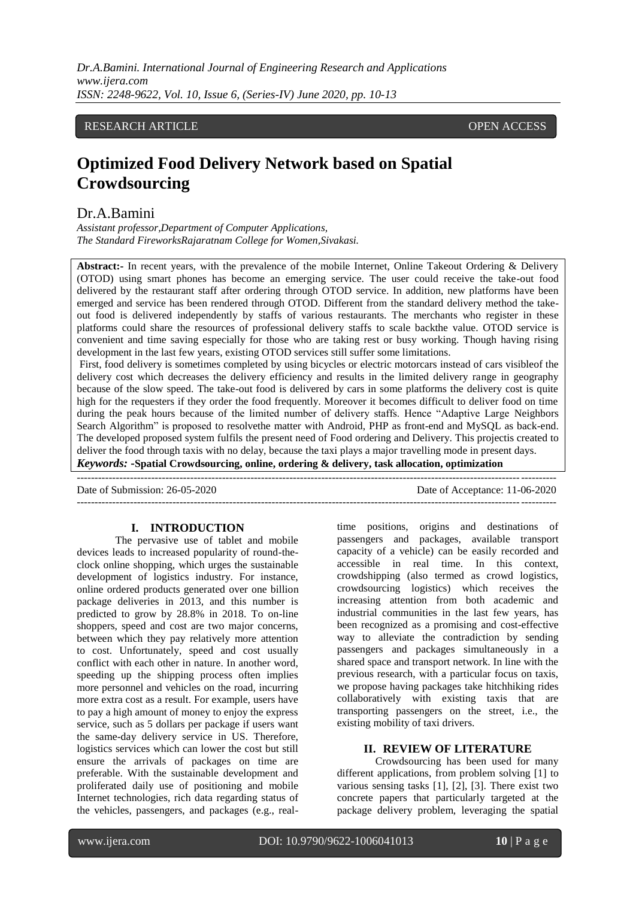*Dr.A.Bamini. International Journal of Engineering Research and Applications www.ijera.com ISSN: 2248-9622, Vol. 10, Issue 6, (Series-IV) June 2020, pp. 10-13*

## RESEARCH ARTICLE **CONSERVERS** OPEN ACCESS

# **Optimized Food Delivery Network based on Spatial Crowdsourcing**

## Dr.A.Bamini

*Assistant professor,Department of Computer Applications, The Standard FireworksRajaratnam College for Women,Sivakasi.*

**Abstract:-** In recent years, with the prevalence of the mobile Internet, Online Takeout Ordering & Delivery (OTOD) using smart phones has become an emerging service. The user could receive the take-out food delivered by the restaurant staff after ordering through OTOD service. In addition, new platforms have been emerged and service has been rendered through OTOD. Different from the standard delivery method the takeout food is delivered independently by staffs of various restaurants. The merchants who register in these platforms could share the resources of professional delivery staffs to scale backthe value. OTOD service is convenient and time saving especially for those who are taking rest or busy working. Though having rising development in the last few years, existing OTOD services still suffer some limitations.

First, food delivery is sometimes completed by using bicycles or electric motorcars instead of cars visibleof the delivery cost which decreases the delivery efficiency and results in the limited delivery range in geography because of the slow speed. The take-out food is delivered by cars in some platforms the delivery cost is quite high for the requesters if they order the food frequently. Moreover it becomes difficult to deliver food on time during the peak hours because of the limited number of delivery staffs. Hence "Adaptive Large Neighbors Search Algorithm" is proposed to resolvethe matter with Android, PHP as front-end and MySQL as back-end. The developed proposed system fulfils the present need of Food ordering and Delivery. This projectis created to deliver the food through taxis with no delay, because the taxi plays a major travelling mode in present days.

---------------------------------------------------------------------------------------------------------------------------------------

*Keywords:* **-Spatial Crowdsourcing, online, ordering & delivery, task allocation, optimization**

--------------------------------------------------------------------------------------------------------------------------------------- Date of Submission: 26-05-2020 Date of Acceptance: 11-06-2020

#### **I. INTRODUCTION**

The pervasive use of tablet and mobile devices leads to increased popularity of round-theclock online shopping, which urges the sustainable development of logistics industry. For instance, online ordered products generated over one billion package deliveries in 2013, and this number is predicted to grow by 28.8% in 2018. To on-line shoppers, speed and cost are two major concerns, between which they pay relatively more attention to cost. Unfortunately, speed and cost usually conflict with each other in nature. In another word, speeding up the shipping process often implies more personnel and vehicles on the road, incurring more extra cost as a result. For example, users have to pay a high amount of money to enjoy the express service, such as 5 dollars per package if users want the same-day delivery service in US. Therefore, logistics services which can lower the cost but still ensure the arrivals of packages on time are preferable. With the sustainable development and proliferated daily use of positioning and mobile Internet technologies, rich data regarding status of the vehicles, passengers, and packages (e.g., realtime positions, origins and destinations of passengers and packages, available transport capacity of a vehicle) can be easily recorded and accessible in real time. In this context, crowdshipping (also termed as crowd logistics, crowdsourcing logistics) which receives the increasing attention from both academic and industrial communities in the last few years, has been recognized as a promising and cost-effective way to alleviate the contradiction by sending passengers and packages simultaneously in a shared space and transport network. In line with the previous research, with a particular focus on taxis, we propose having packages take hitchhiking rides collaboratively with existing taxis that are transporting passengers on the street, i.e., the existing mobility of taxi drivers.

### **II. REVIEW OF LITERATURE**

Crowdsourcing has been used for many different applications, from problem solving [1] to various sensing tasks [1], [2], [3]. There exist two concrete papers that particularly targeted at the package delivery problem, leveraging the spatial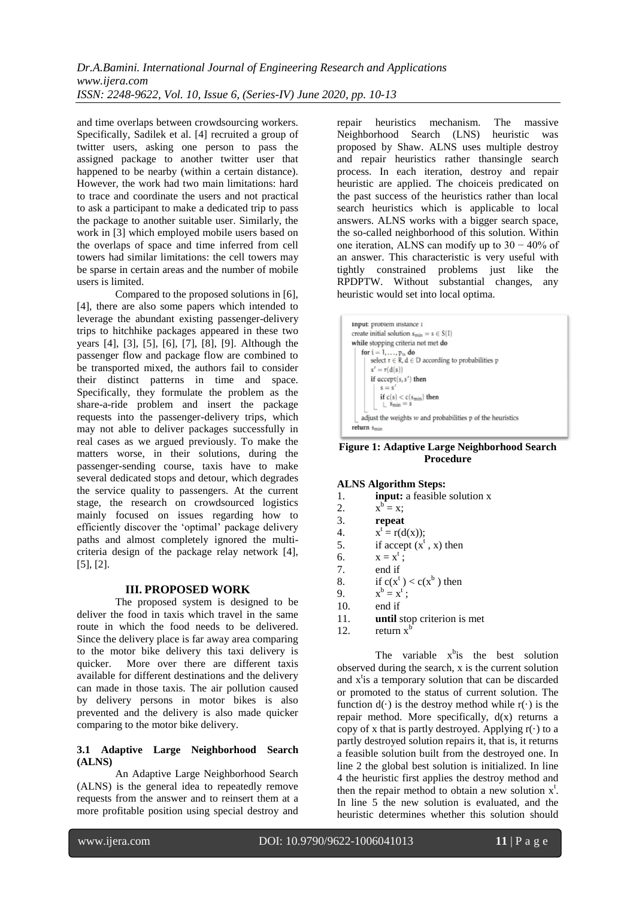and time overlaps between crowdsourcing workers. Specifically, Sadilek et al. [4] recruited a group of twitter users, asking one person to pass the assigned package to another twitter user that happened to be nearby (within a certain distance). However, the work had two main limitations: hard to trace and coordinate the users and not practical to ask a participant to make a dedicated trip to pass the package to another suitable user. Similarly, the work in [3] which employed mobile users based on the overlaps of space and time inferred from cell towers had similar limitations: the cell towers may be sparse in certain areas and the number of mobile users is limited.

Compared to the proposed solutions in [6], [4], there are also some papers which intended to leverage the abundant existing passenger-delivery trips to hitchhike packages appeared in these two years [4], [3], [5], [6], [7], [8], [9]. Although the passenger flow and package flow are combined to be transported mixed, the authors fail to consider their distinct patterns in time and space. Specifically, they formulate the problem as the share-a-ride problem and insert the package requests into the passenger-delivery trips, which may not able to deliver packages successfully in real cases as we argued previously. To make the matters worse, in their solutions, during the passenger-sending course, taxis have to make several dedicated stops and detour, which degrades the service quality to passengers. At the current stage, the research on crowdsourced logistics mainly focused on issues regarding how to efficiently discover the "optimal" package delivery paths and almost completely ignored the multicriteria design of the package relay network [4], [5], [2].

## **III. PROPOSED WORK**

The proposed system is designed to be deliver the food in taxis which travel in the same route in which the food needs to be delivered. Since the delivery place is far away area comparing to the motor bike delivery this taxi delivery is quicker. More over there are different taxis available for different destinations and the delivery can made in those taxis. The air pollution caused by delivery persons in motor bikes is also prevented and the delivery is also made quicker comparing to the motor bike delivery.

#### **3.1 Adaptive Large Neighborhood Search (ALNS)**

An Adaptive Large Neighborhood Search (ALNS) is the general idea to repeatedly remove requests from the answer and to reinsert them at a more profitable position using special destroy and

repair heuristics mechanism. The massive Neighborhood Search (LNS) heuristic was proposed by Shaw. ALNS uses multiple destroy and repair heuristics rather thansingle search process. In each iteration, destroy and repair heuristic are applied. The choiceis predicated on the past success of the heuristics rather than local search heuristics which is applicable to local answers. ALNS works with a bigger search space, the so-called neighborhood of this solution. Within one iteration, ALNS can modify up to 30 − 40% of an answer. This characteristic is very useful with tightly constrained problems just like the RPDPTW. Without substantial changes, any heuristic would set into local optima.



## **Figure 1: Adaptive Large Neighborhood Search Procedure**

## **ALNS Algorithm Steps:**

- 1. **input:** a feasible solution x
- $2.$  $b = x;$
- 3. **repeat**
- $\overline{4}$ .  $t = r(d(x));$
- 5. if accept  $(x^t, x)$  then
- 6.  $x = x^t;$
- 7. end if
- 8. if  $c(x^t) < c(x^b)$  then
- $\overline{9}$  $b = x^t;$
- 10. end if
- 11. **until** stop criterion is met
- 12. return  $x^b$

The variable  $x^b$  is the best solution observed during the search, x is the current solution and  $x^t$  is a temporary solution that can be discarded or promoted to the status of current solution. The function  $d(\cdot)$  is the destroy method while  $r(\cdot)$  is the repair method. More specifically,  $d(x)$  returns a copy of x that is partly destroyed. Applying  $r(\cdot)$  to a partly destroyed solution repairs it, that is, it returns a feasible solution built from the destroyed one. In line 2 the global best solution is initialized. In line 4 the heuristic first applies the destroy method and then the repair method to obtain a new solution  $x^t$ . In line 5 the new solution is evaluated, and the heuristic determines whether this solution should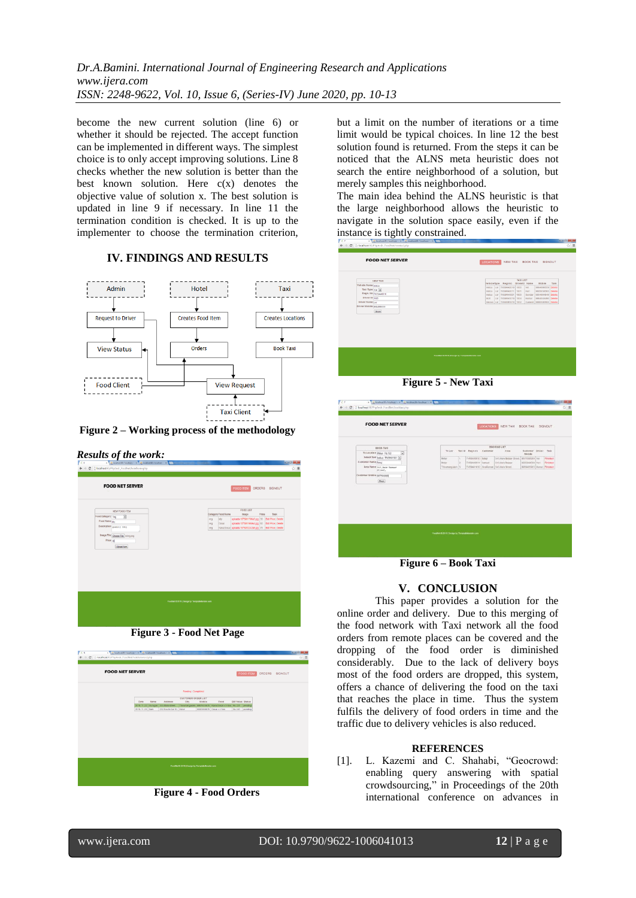*Dr.A.Bamini. International Journal of Engineering Research and Applications www.ijera.com ISSN: 2248-9622, Vol. 10, Issue 6, (Series-IV) June 2020, pp. 10-13*

become the new current solution (line 6) or whether it should be rejected. The accept function can be implemented in different ways. The simplest choice is to only accept improving solutions. Line 8 checks whether the new solution is better than the best known solution. Here  $c(x)$  denotes the objective value of solution x. The best solution is updated in line 9 if necessary. In line 11 the termination condition is checked. It is up to the implementer to choose the termination criterion,

## **IV. FINDINGS AND RESULTS**



**Figure 2 – Working process of the methodology**





**Figure 3 - Food Net Page**



**Figure 4 - Food Orders**

but a limit on the number of iterations or a time limit would be typical choices. In line 12 the best solution found is returned. From the steps it can be noticed that the ALNS meta heuristic does not search the entire neighborhood of a solution, but merely samples this neighborhood.

The main idea behind the ALNS heuristic is that the large neighborhood allows the heuristic to navigate in the solution space easily, even if the instance is tightly constrained.

| TAXI LIST<br>NEW TAXI<br>VehicleType Regnno Driverid Name<br>Mobile<br>Task<br>Vehicle Name indica<br>Indica car TN59AA0010 1000<br><b>Ver</b><br>0004000559 Delete<br>Taxi Type Car x<br>Indica car TNS9AA0011 1001<br>Hart<br>9000009595 Delete<br>Regn. No missAA0010<br>Indica car TN59AA1001 1003<br>8834904049 Delete<br>Sundar<br>Driver Id 1995<br>Car TND9AA1010 1004<br>0084040400 Delete<br>Bot<br>Kursar<br>Driver Name   Val<br>Innova car TN59AB1910 1002<br>Ganesh 9980590595 Delete<br>Driver Mobile   9954999559<br>Stare<br>FoodNet @ 2019   Design by TemplateMonster.com |  |
|----------------------------------------------------------------------------------------------------------------------------------------------------------------------------------------------------------------------------------------------------------------------------------------------------------------------------------------------------------------------------------------------------------------------------------------------------------------------------------------------------------------------------------------------------------------------------------------------|--|
|                                                                                                                                                                                                                                                                                                                                                                                                                                                                                                                                                                                              |  |
|                                                                                                                                                                                                                                                                                                                                                                                                                                                                                                                                                                                              |  |
|                                                                                                                                                                                                                                                                                                                                                                                                                                                                                                                                                                                              |  |
|                                                                                                                                                                                                                                                                                                                                                                                                                                                                                                                                                                                              |  |
|                                                                                                                                                                                                                                                                                                                                                                                                                                                                                                                                                                                              |  |
|                                                                                                                                                                                                                                                                                                                                                                                                                                                                                                                                                                                              |  |
|                                                                                                                                                                                                                                                                                                                                                                                                                                                                                                                                                                                              |  |
|                                                                                                                                                                                                                                                                                                                                                                                                                                                                                                                                                                                              |  |
|                                                                                                                                                                                                                                                                                                                                                                                                                                                                                                                                                                                              |  |
|                                                                                                                                                                                                                                                                                                                                                                                                                                                                                                                                                                                              |  |
|                                                                                                                                                                                                                                                                                                                                                                                                                                                                                                                                                                                              |  |
|                                                                                                                                                                                                                                                                                                                                                                                                                                                                                                                                                                                              |  |
|                                                                                                                                                                                                                                                                                                                                                                                                                                                                                                                                                                                              |  |
|                                                                                                                                                                                                                                                                                                                                                                                                                                                                                                                                                                                              |  |
|                                                                                                                                                                                                                                                                                                                                                                                                                                                                                                                                                                                              |  |
|                                                                                                                                                                                                                                                                                                                                                                                                                                                                                                                                                                                              |  |
|                                                                                                                                                                                                                                                                                                                                                                                                                                                                                                                                                                                              |  |
|                                                                                                                                                                                                                                                                                                                                                                                                                                                                                                                                                                                              |  |
|                                                                                                                                                                                                                                                                                                                                                                                                                                                                                                                                                                                              |  |
|                                                                                                                                                                                                                                                                                                                                                                                                                                                                                                                                                                                              |  |
|                                                                                                                                                                                                                                                                                                                                                                                                                                                                                                                                                                                              |  |
|                                                                                                                                                                                                                                                                                                                                                                                                                                                                                                                                                                                              |  |

**Figure 5 - New Taxi**

| BOOKHA LIST<br>BOOK TAXI<br>Area<br>To Loc.<br>Taxi Id Regn no Customer<br>Customer Driver Task<br>$\overline{\mathbf{z}}$<br>To Location Meks - Ru 150<br>Mobile<br>Salett Taxi judge - TNOMA1001 [m]<br>TRIGAADD10 BANA<br>H<br>SD Man Bidair Street<br>9877690999 [Vel]<br>Mehat<br>×<br>TIERAGOTT Samuel<br>313 Man Bazano<br>000004389 Hari<br>Mohar<br>Area Name 143, Nato Barnar<br>Thinmangalam <sup>S</sup><br>TNIGAA1010 Swallaman 543 Man Street.<br>Itzeet,<br>Customer Mobile 5677492929<br>Basi: | <b>FOOD NET SERVER</b> |  | <b>LOCATIONS</b> | NEW TAXI BOOK TAXI SIGNOUT |  |  |
|----------------------------------------------------------------------------------------------------------------------------------------------------------------------------------------------------------------------------------------------------------------------------------------------------------------------------------------------------------------------------------------------------------------------------------------------------------------------------------------------------------------|------------------------|--|------------------|----------------------------|--|--|
|                                                                                                                                                                                                                                                                                                                                                                                                                                                                                                                |                        |  |                  |                            |  |  |
|                                                                                                                                                                                                                                                                                                                                                                                                                                                                                                                |                        |  |                  |                            |  |  |
| Financo                                                                                                                                                                                                                                                                                                                                                                                                                                                                                                        |                        |  |                  |                            |  |  |
| Finished<br>0000405085 Numar Finished                                                                                                                                                                                                                                                                                                                                                                                                                                                                          |                        |  |                  |                            |  |  |
|                                                                                                                                                                                                                                                                                                                                                                                                                                                                                                                | Customer Name Balai    |  |                  |                            |  |  |
|                                                                                                                                                                                                                                                                                                                                                                                                                                                                                                                |                        |  |                  |                            |  |  |
|                                                                                                                                                                                                                                                                                                                                                                                                                                                                                                                |                        |  |                  |                            |  |  |
|                                                                                                                                                                                                                                                                                                                                                                                                                                                                                                                |                        |  |                  |                            |  |  |
|                                                                                                                                                                                                                                                                                                                                                                                                                                                                                                                |                        |  |                  |                            |  |  |
|                                                                                                                                                                                                                                                                                                                                                                                                                                                                                                                |                        |  |                  |                            |  |  |
|                                                                                                                                                                                                                                                                                                                                                                                                                                                                                                                |                        |  |                  |                            |  |  |
|                                                                                                                                                                                                                                                                                                                                                                                                                                                                                                                |                        |  |                  |                            |  |  |
|                                                                                                                                                                                                                                                                                                                                                                                                                                                                                                                |                        |  |                  |                            |  |  |
|                                                                                                                                                                                                                                                                                                                                                                                                                                                                                                                |                        |  |                  |                            |  |  |
|                                                                                                                                                                                                                                                                                                                                                                                                                                                                                                                |                        |  |                  |                            |  |  |
|                                                                                                                                                                                                                                                                                                                                                                                                                                                                                                                |                        |  |                  |                            |  |  |
|                                                                                                                                                                                                                                                                                                                                                                                                                                                                                                                |                        |  |                  |                            |  |  |
| Feedball @ 2019 (Design by TemplateMonster.com                                                                                                                                                                                                                                                                                                                                                                                                                                                                 |                        |  |                  |                            |  |  |

**Figure 6 – Book Taxi**

## **V. CONCLUSION**

This paper provides a solution for the online order and delivery. Due to this merging of the food network with Taxi network all the food orders from remote places can be covered and the dropping of the food order is diminished considerably. Due to the lack of delivery boys most of the food orders are dropped, this system, offers a chance of delivering the food on the taxi that reaches the place in time. Thus the system fulfils the delivery of food orders in time and the traffic due to delivery vehicles is also reduced.

#### **REFERENCES**

[1]. L. Kazemi and C. Shahabi, "Geocrowd: enabling query answering with spatial crowdsourcing," in Proceedings of the 20th international conference on advances in